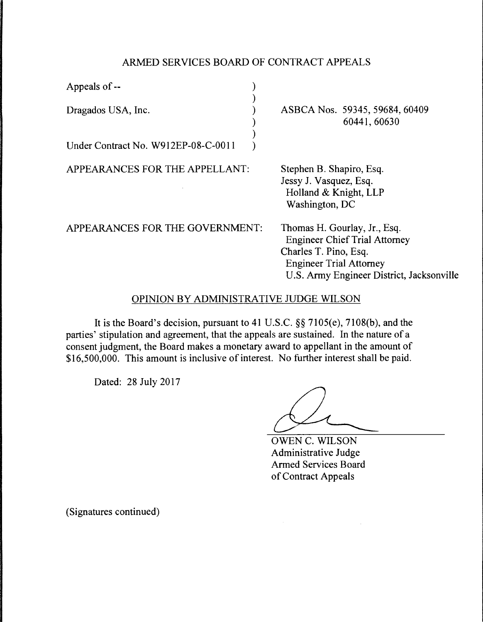## ARMED SERVICES BOARD OF CONTRACT APPEALS

| Appeals of --                       |  |
|-------------------------------------|--|
| Dragados USA, Inc.                  |  |
|                                     |  |
| Under Contract No. W912EP-08-C-0011 |  |

APPEARANCES FOR THE APPELLANT:

ASBCA Nos. 59345, 59684, 60409 60441,60630

Stephen B. Shapiro, Esq. Jessy J. Vasquez, Esq. Holland & Knight, LLP Washington, DC

APPEARANCES FOR THE GOVERNMENT:

Thomas H. Gourlay, Jr., Esq. Engineer Chief Trial Attorney Charles T. Pino, Esq. Engineer Trial Attorney U.S. Army Engineer District, Jacksonville

## OPINION BY ADMINISTRATIVE JUDGE WILSON

It is the Board's decision, pursuant to 41 U.S.C. §§ 7105(e), 7108(b), and the parties' stipulation and agreement, that the appeals are sustained. In the nature of a consent judgment, the Board makes a monetary award to appellant in the amount of \$16,500,000. This amount is inclusive of interest. No further interest shall be paid.

Dated: 28 July 2017

OWEN C. WILSON Administrative Judge Armed Services Board of Contract Appeals

(Signatures continued)